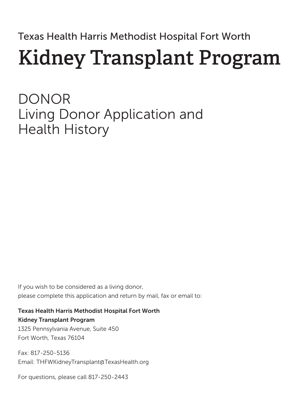Texas Health Harris Methodist Hospital Fort Worth

## **Kidney Transplant Program**

DONOR Living Donor Application and Health History

If you wish to be considered as a living donor, please complete this application and return by mail, fax or email to:

Texas Health Harris Methodist Hospital Fort Worth Kidney Transplant Program

1325 Pennsylvania Avenue, Suite 450 Fort Worth, Texas 76104

Fax: 817-250-5136 Email: THFWKidneyTransplant@TexasHealth.org

For questions, please call 817-250-2443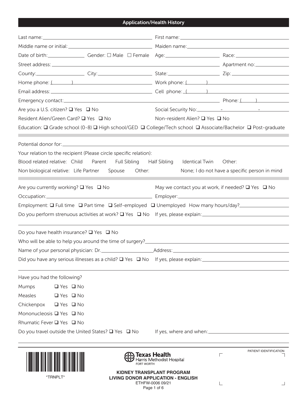## Application/Health History

| Are you a U.S. citizen? ■ Yes ■ No                                  |                                                                                                              |  |  |
|---------------------------------------------------------------------|--------------------------------------------------------------------------------------------------------------|--|--|
| Resident Alien/Green Card? □ Yes □ No                               | Non-resident Alien? □ Yes □ No                                                                               |  |  |
|                                                                     | Education: Q Grade school (0-8) Q High school/GED Q College/Tech school Q Associate/Bachelor Q Post-graduate |  |  |
|                                                                     |                                                                                                              |  |  |
| Your relation to the recipient (Please circle specific relation):   |                                                                                                              |  |  |
| Blood related relative: Child                                       | Parent Full Sibling Half Sibling Identical Twin<br>Other:                                                    |  |  |
| Non biological relative: Life Partner Spouse Other:                 | None; I do not have a specific person in mind                                                                |  |  |
|                                                                     |                                                                                                              |  |  |
| Are you currently working? $\square$ Yes $\square$ No               | May we contact you at work, if needed? $\Box$ Yes $\Box$ No                                                  |  |  |
|                                                                     |                                                                                                              |  |  |
|                                                                     | Employment: □ Full time □ Part time □ Self-employed □ Unemployed How many hours/day?_______________          |  |  |
|                                                                     | Do you perform strenuous activities at work? $\square$ Yes $\square$ No If yes, please explain:              |  |  |
|                                                                     |                                                                                                              |  |  |
| Do you have health insurance? $\Box$ Yes $\Box$ No                  |                                                                                                              |  |  |
|                                                                     |                                                                                                              |  |  |
|                                                                     |                                                                                                              |  |  |
|                                                                     |                                                                                                              |  |  |
| Have you had the following?                                         |                                                                                                              |  |  |
| Mumps<br>$\Box$ Yes $\Box$ No                                       |                                                                                                              |  |  |
| Measles<br>$\Box$ Yes $\Box$ No                                     |                                                                                                              |  |  |
| Chickenpox $\Box$ Yes $\Box$ No                                     |                                                                                                              |  |  |
| Mononucleosis □ Yes □ No                                            |                                                                                                              |  |  |
| Rhumatic Fever □ Yes □ No                                           |                                                                                                              |  |  |
| Do you travel outside the United States? $\square$ Yes $\square$ No |                                                                                                              |  |  |
|                                                                     |                                                                                                              |  |  |
|                                                                     | PATIENT IDENTIFICATION<br>Texas Health<br>$\Gamma$<br>Harris Methodist Hospital                              |  |  |
| <b>FORT WORTH</b>                                                   |                                                                                                              |  |  |
| *TRNPLT*                                                            | <b>KIDNEY TRANSPLANT PROGRAM</b><br><b>LIVING DONOR APPLICATION - ENGLISH</b><br>FTHEW-0006 09/21            |  |  |

ETHFW-0006 09/21 Page 1 of 6

 $\Box$ 

 $\mathsf{L}% _{\mathcal{A}}^{\alpha}(\mathcal{A})\equiv\mathsf{L}_{\mathcal{A}}^{\alpha}(\mathcal{A})$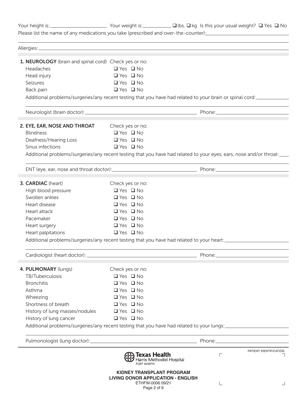|                                                       |                                                                                                   | Your height is: Your Meight is: Vour weight is: Vour Weight is: Vour height is: Vour height? □ Yes □ No                                                                                                                              |  |
|-------------------------------------------------------|---------------------------------------------------------------------------------------------------|--------------------------------------------------------------------------------------------------------------------------------------------------------------------------------------------------------------------------------------|--|
|                                                       |                                                                                                   | Please list the name of any medications you take (prescribed and over-the-counter): [14] Please list the name of any medications you take (prescribed and over-the-counter):                                                         |  |
|                                                       |                                                                                                   |                                                                                                                                                                                                                                      |  |
| 1. NEUROLOGY (brain and spinal cord) Check yes or no: |                                                                                                   |                                                                                                                                                                                                                                      |  |
| Headaches                                             | $\Box$ Yes $\Box$ No                                                                              |                                                                                                                                                                                                                                      |  |
| Head injury                                           | $\Box$ Yes $\Box$ No                                                                              |                                                                                                                                                                                                                                      |  |
| Seizures                                              | $\Box$ Yes $\Box$ No                                                                              |                                                                                                                                                                                                                                      |  |
| Back pain                                             | $\Box$ Yes $\Box$ No                                                                              |                                                                                                                                                                                                                                      |  |
|                                                       |                                                                                                   | Additional problems/surgeries/any recent testing that you have had related to your brain or spinal cord:                                                                                                                             |  |
|                                                       |                                                                                                   |                                                                                                                                                                                                                                      |  |
| 2. EYE, EAR, NOSE AND THROAT                          | Check yes or no:                                                                                  |                                                                                                                                                                                                                                      |  |
| <b>Blindness</b>                                      | $\Box$ Yes $\Box$ No                                                                              |                                                                                                                                                                                                                                      |  |
| Deafness/Hearing Loss                                 | $\Box$ Yes $\Box$ No                                                                              |                                                                                                                                                                                                                                      |  |
| Sinus infections                                      | $\Box$ Yes $\Box$ No                                                                              |                                                                                                                                                                                                                                      |  |
|                                                       |                                                                                                   | Additional problems/surgeries/any recent testing that you have had related to your eyes, ears, nose and/or throat:                                                                                                                   |  |
|                                                       |                                                                                                   |                                                                                                                                                                                                                                      |  |
| 3. CARDIAC (heart)                                    | Check yes or no:                                                                                  |                                                                                                                                                                                                                                      |  |
| High blood pressure                                   | $\Box$ Yes $\Box$ No                                                                              |                                                                                                                                                                                                                                      |  |
| Swollen ankles                                        | $\Box$ Yes $\Box$ No                                                                              |                                                                                                                                                                                                                                      |  |
| Heart disease                                         | $\Box$ Yes $\Box$ No                                                                              |                                                                                                                                                                                                                                      |  |
| Heart attack                                          | $\Box$ Yes $\Box$ No                                                                              |                                                                                                                                                                                                                                      |  |
| Pacemaker                                             | $\Box$ Yes $\Box$ No                                                                              |                                                                                                                                                                                                                                      |  |
| Heart surgery                                         | $\Box$ Yes $\Box$ No                                                                              |                                                                                                                                                                                                                                      |  |
| Heart palpitations                                    | $\Box$ Yes $\Box$ No                                                                              |                                                                                                                                                                                                                                      |  |
|                                                       | Additional problems/surgeries/any recent testing that you have had related to your heart:         |                                                                                                                                                                                                                                      |  |
|                                                       |                                                                                                   | Phone: Note: Note: Note: Note: Note: Note: Note: Note: Note: Note: Note: Note: Note: Note: Note: No                                                                                                                                  |  |
| 4. PULMONARY (lungs)                                  | Check yes or no:                                                                                  |                                                                                                                                                                                                                                      |  |
| TB/Tuberculosis                                       | $\Box$ Yes $\Box$ No                                                                              |                                                                                                                                                                                                                                      |  |
| <b>Bronchitis</b>                                     | $\Box$ Yes $\Box$ No                                                                              |                                                                                                                                                                                                                                      |  |
| Asthma                                                | $\Box$ Yes $\Box$ No                                                                              |                                                                                                                                                                                                                                      |  |
| Wheezing                                              | $\Box$ Yes $\Box$ No                                                                              |                                                                                                                                                                                                                                      |  |
| Shortness of breath                                   | $\Box$ Yes $\Box$ No                                                                              |                                                                                                                                                                                                                                      |  |
| History of lung masses/nodules                        | $\Box$ Yes $\Box$ No                                                                              |                                                                                                                                                                                                                                      |  |
| History of lung cancer                                | $\Box$ Yes $\Box$ No                                                                              |                                                                                                                                                                                                                                      |  |
|                                                       |                                                                                                   | Additional problems/surgeries/any recent testing that you have had related to your lungs:                                                                                                                                            |  |
|                                                       |                                                                                                   | Phone: <u>with the contract of the contract of the contract of the contract of the contract of the contract of the contract of the contract of the contract of the contract of the contract of the contract of the contract of t</u> |  |
|                                                       | Texas Health<br>Harris Methodist Hospital<br><b>FORT WORTH</b>                                    | PATIENT IDENTIFICATION                                                                                                                                                                                                               |  |
|                                                       | <b>KIDNEY TRANSPLANT PROGRAM</b><br><b>LIVING DONOR APPLICATION - ENGLISH</b><br>ETHFW-0006 09/21 |                                                                                                                                                                                                                                      |  |

ETHFW-0006 09/21 Page 2 of 6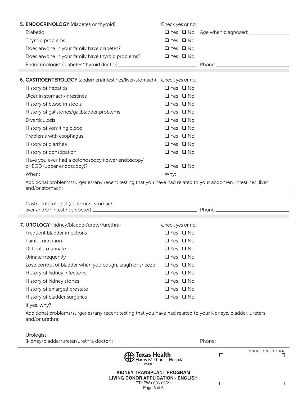| 5. ENDOCRINOLOGY (diabetes or thyroid)<br>Diabetic                                                            | Check yes or no:     | □ Yes □ No Age when diagnosed: <u>________</u> |
|---------------------------------------------------------------------------------------------------------------|----------------------|------------------------------------------------|
| Thyroid problems                                                                                              | $\Box$ Yes $\Box$ No |                                                |
| Does anyone in your family have diabetes?                                                                     | $\Box$ Yes $\Box$ No |                                                |
| Does anyone in your family have thyroid problems?                                                             | $\Box$ Yes $\Box$ No |                                                |
|                                                                                                               |                      |                                                |
|                                                                                                               |                      |                                                |
| 6. GASTROENTEROLOGY (abdomen/intestines/liver/stomach)                                                        | Check yes or no:     |                                                |
| History of hepatitis                                                                                          | $\Box$ Yes $\Box$ No |                                                |
| Ulcer in stomach/intestines                                                                                   | $\Box$ Yes $\Box$ No |                                                |
| History of blood in stools                                                                                    | $\Box$ Yes $\Box$ No |                                                |
| History of gallstones/gallbladder problems                                                                    | $\Box$ Yes $\Box$ No |                                                |
| <b>Diverticulosis</b>                                                                                         | $\Box$ Yes $\Box$ No |                                                |
| History of vomiting blood                                                                                     | $\Box$ Yes $\Box$ No |                                                |
| Problems with esophagus                                                                                       | $\Box$ Yes $\Box$ No |                                                |
| History of diarrhea                                                                                           | $\Box$ Yes $\Box$ No |                                                |
| History of constipation                                                                                       | $\Box$ Yes $\Box$ No |                                                |
| Have you ever had a colonoscopy (lower endoscopy)                                                             |                      |                                                |
| or EGD (upper endoscopy)?                                                                                     | $\Box$ Yes $\Box$ No |                                                |
|                                                                                                               |                      |                                                |
| Additional problems/surgeries/any recent testing that you have had related to your abdomen, intestines, liver |                      |                                                |
| Gastroenterologist (abdomen, stomach,                                                                         |                      |                                                |
|                                                                                                               |                      |                                                |
| 7. UROLOGY (kidney/bladder/ureter/urethra)                                                                    | Check yes or no:     |                                                |
| Frequent bladder infections                                                                                   | $\Box$ Yes $\Box$ No |                                                |
| Painful urination                                                                                             | $\Box$ Yes $\Box$ No |                                                |
| Difficult to urinate                                                                                          | $\Box$ Yes $\Box$ No |                                                |
| Urinate frequently                                                                                            | $\Box$ Yes $\Box$ No |                                                |
| Lose control of bladder when you cough, laugh or sneeze                                                       | $\Box$ Yes $\Box$ No |                                                |
| History of kidney infections                                                                                  | $\Box$ Yes $\Box$ No |                                                |
| History of kidney stones                                                                                      | $\Box$ Yes $\Box$ No |                                                |
| History of enlarged prostate                                                                                  | $\Box$ Yes $\Box$ No |                                                |
| History of bladder surgeries                                                                                  | $\Box$ Yes $\Box$ No |                                                |
|                                                                                                               |                      |                                                |
| Additional problems/surgeries/any recent testing that you have had related to your kidneys, bladder, ureters  |                      |                                                |
| Urologist<br>(kidney/bladder/ureter/urethra doctor): Phone: Phone: Phone:                                     |                      |                                                |

|  | KIDNEY TRANSPLANT PROGRAM |  |
|--|---------------------------|--|
|  |                           |  |

**LIVING DRIVITION – ENGLISH**<br>**PAGE 1 OF 7HEW-0006 09/21 LIVING DONOR APPLICATION - ENGLISH**

ETHFW-0006 09/21 Page 3 of 6

 $\mathsf{L}% _{\mathcal{A}}^{\alpha}(\mathcal{A})\equiv\mathsf{L}_{\mathcal{A}}^{\alpha}(\mathcal{A})$ 

 $\perp$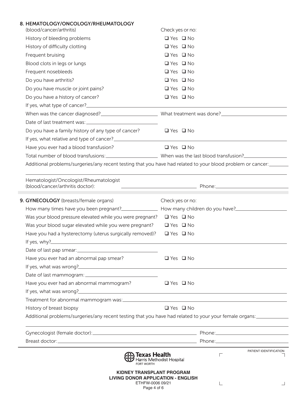| 8. HEMATOLOGY/ONCOLOGY/RHEUMATOLOGY<br>(blood/cancer/arthritis)                                                                                                                                                                                                                                 | Check yes or no:          |          |                        |
|-------------------------------------------------------------------------------------------------------------------------------------------------------------------------------------------------------------------------------------------------------------------------------------------------|---------------------------|----------|------------------------|
| History of bleeding problems                                                                                                                                                                                                                                                                    | $\Box$ Yes $\Box$ No      |          |                        |
| History of difficulty clotting                                                                                                                                                                                                                                                                  | $\Box$ Yes $\Box$ No      |          |                        |
| Frequent bruising                                                                                                                                                                                                                                                                               | $\Box$ Yes $\Box$ No      |          |                        |
| Blood clots in legs or lungs                                                                                                                                                                                                                                                                    | $\Box$ Yes $\Box$ No      |          |                        |
| Frequent nosebleeds                                                                                                                                                                                                                                                                             | $\Box$ Yes $\Box$ No      |          |                        |
| Do you have arthritis?                                                                                                                                                                                                                                                                          | $\Box$ Yes $\Box$ No      |          |                        |
| Do you have muscle or joint pains?                                                                                                                                                                                                                                                              | $\Box$ Yes $\Box$ No      |          |                        |
| Do you have a history of cancer?                                                                                                                                                                                                                                                                | $\Box$ Yes $\Box$ No      |          |                        |
|                                                                                                                                                                                                                                                                                                 |                           |          |                        |
|                                                                                                                                                                                                                                                                                                 |                           |          |                        |
|                                                                                                                                                                                                                                                                                                 |                           |          |                        |
| Do you have a family history of any type of cancer?                                                                                                                                                                                                                                             | $\Box$ Yes $\Box$ No      |          |                        |
|                                                                                                                                                                                                                                                                                                 |                           |          |                        |
| Have you ever had a blood transfusion?                                                                                                                                                                                                                                                          | $\Box$ Yes $\Box$ No      |          |                        |
|                                                                                                                                                                                                                                                                                                 |                           |          |                        |
| Additional problems/surgeries/any recent testing that you have had related to your blood problem or cancer:                                                                                                                                                                                     |                           |          |                        |
| Hematologist/Oncologist/Rheumatologist<br>(blood/cancer/arthritis doctor):                                                                                                                                                                                                                      |                           |          |                        |
| 9. GYNECOLOGY (breasts/female organs)                                                                                                                                                                                                                                                           | Check yes or no:          |          |                        |
|                                                                                                                                                                                                                                                                                                 |                           |          |                        |
| Was your blood pressure elevated while you were pregnant? $\Box$ Yes $\Box$ No                                                                                                                                                                                                                  |                           |          |                        |
| Was your blood sugar elevated while you were pregnant?                                                                                                                                                                                                                                          | $\Box$ Yes $\Box$ No      |          |                        |
| Have you had a hysterectomy (uterus surgically removed)?<br>If yes, why? <b>Example 2008</b> 2014 2015 2016 2017 2022 2023 2024 2022 2023 2024 2022 2023 2024 2022 2023 2024 2022 2023 2024 2022 2023 2024 2022 2023 2024 2022 2023 2024 2022 2023 2024 2025 2027 2027 2023 2024 2025 2027 2023 | $\Box$ Yes $\Box$ No      |          |                        |
|                                                                                                                                                                                                                                                                                                 |                           |          |                        |
| Have you ever had an abnormal pap smear?                                                                                                                                                                                                                                                        | $\Box$ Yes $\Box$ No      |          |                        |
|                                                                                                                                                                                                                                                                                                 |                           |          |                        |
|                                                                                                                                                                                                                                                                                                 |                           |          |                        |
| Have you ever had an abnormal mammogram? $\Box$ Yes $\Box$ No                                                                                                                                                                                                                                   |                           |          |                        |
|                                                                                                                                                                                                                                                                                                 |                           |          |                        |
|                                                                                                                                                                                                                                                                                                 |                           |          |                        |
| History of breast biopsy                                                                                                                                                                                                                                                                        | $\Box$ Yes $\Box$ No      |          |                        |
| Additional problems/surgeries/any recent testing that you have had related to your your female organs:                                                                                                                                                                                          |                           |          |                        |
|                                                                                                                                                                                                                                                                                                 |                           |          |                        |
|                                                                                                                                                                                                                                                                                                 |                           |          |                        |
| <b>़े) Texas Health</b><br><b>FORT WORTH</b>                                                                                                                                                                                                                                                    | Harris Methodist Hospital | $\Gamma$ | PATIENT IDENTIFICATION |
| KIDNEY TRANSPLANT PROGRAM<br><b>LIVING DONOR APPLICATION - ENGLISH</b><br>ETHFW-0006 09/21                                                                                                                                                                                                      |                           |          |                        |

Page 4 of 6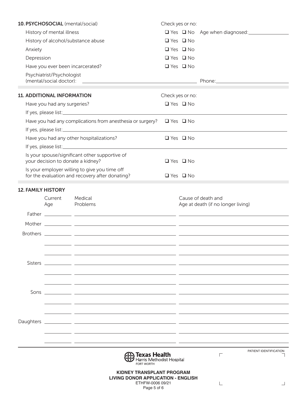|                           |                                                      | 10. PSYCHOSOCIAL (mental/social)                                                                                    | Check yes or no:                         |                                    |
|---------------------------|------------------------------------------------------|---------------------------------------------------------------------------------------------------------------------|------------------------------------------|------------------------------------|
| History of mental illness |                                                      |                                                                                                                     | $\Box$ Yes $\Box$ No Age when diagnosed: |                                    |
|                           |                                                      | History of alcohol/substance abuse                                                                                  | $\Box$ Yes $\Box$ No                     |                                    |
| Anxiety                   |                                                      |                                                                                                                     | $\Box$ Yes $\Box$ No                     |                                    |
| Depression                |                                                      |                                                                                                                     | $\Box$ Yes $\Box$ No                     |                                    |
|                           |                                                      | Have you ever been incarcerated?                                                                                    | $\Box$ Yes $\Box$ No                     |                                    |
|                           | Psychiatrist/Psychologist<br>(mental/social doctor): |                                                                                                                     |                                          |                                    |
|                           | <b>11. ADDITIONAL INFORMATION</b>                    |                                                                                                                     | Check yes or no:                         |                                    |
|                           | Have you had any surgeries?                          |                                                                                                                     | $\Box$ Yes $\Box$ No                     |                                    |
|                           |                                                      |                                                                                                                     |                                          |                                    |
|                           |                                                      | Have you had any complications from anesthesia or surgery?                                                          | $\Box$ Yes $\Box$ No                     |                                    |
|                           |                                                      |                                                                                                                     |                                          |                                    |
|                           |                                                      | Have you had any other hospitalizations?                                                                            | $\Box$ Yes $\Box$ No                     |                                    |
|                           |                                                      |                                                                                                                     |                                          |                                    |
|                           |                                                      | Is your spouse/significant other supportive of<br>your decision to donate a kidney?                                 | $\Box$ Yes $\Box$ No                     |                                    |
|                           |                                                      | Is your employer willing to give you time off<br>for the evaluation and recovery after donating?                    | $\Box$ Yes $\Box$ No                     |                                    |
| <b>12. FAMILY HISTORY</b> |                                                      |                                                                                                                     |                                          |                                    |
|                           | Current                                              | Medical                                                                                                             |                                          | Cause of death and                 |
|                           | Age                                                  | Problems                                                                                                            |                                          | Age at death (if no longer living) |
|                           |                                                      |                                                                                                                     |                                          |                                    |
|                           |                                                      |                                                                                                                     |                                          |                                    |
|                           |                                                      |                                                                                                                     |                                          |                                    |
|                           |                                                      |                                                                                                                     |                                          |                                    |
|                           |                                                      |                                                                                                                     |                                          |                                    |
|                           |                                                      |                                                                                                                     |                                          |                                    |
|                           |                                                      |                                                                                                                     |                                          |                                    |
|                           |                                                      |                                                                                                                     |                                          |                                    |
|                           |                                                      |                                                                                                                     |                                          |                                    |
|                           |                                                      |                                                                                                                     |                                          |                                    |
|                           |                                                      |                                                                                                                     |                                          |                                    |
| Daughters                 |                                                      | <u> 1999 - Johann John Stoff, deutscher Stoffen und der Stoffen und der Stoffen und der Stoffen und der Stoffen</u> |                                          |                                    |
|                           |                                                      |                                                                                                                     |                                          |                                    |
|                           |                                                      |                                                                                                                     |                                          |                                    |
|                           |                                                      | Texas Health<br>Harris Methodist Hospital<br>FORT WORTH                                                             |                                          | PATIENT IDENTIFICATION<br>$\Box$   |
|                           |                                                      | <b>KIDNEY TRANSPLANT PROGRAM</b><br><b>LIVING DONOR APPLICATION - ENGLISH</b><br>ETHFW-0006 09/21<br>Page 5 of 6    |                                          |                                    |